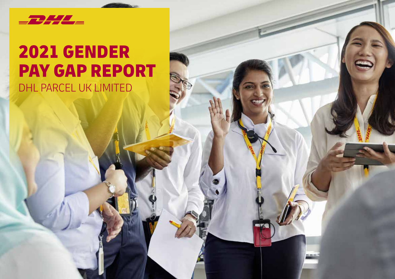

### 2021 GENDER PAY GAP REPORT DHL PARCEL UK LIMITED

 $\blacksquare$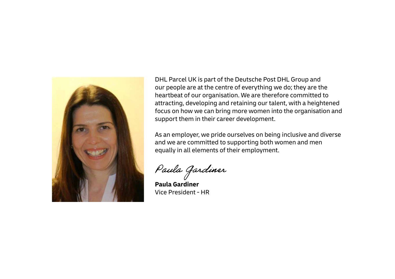

DHL Parcel UK is part of the Deutsche Post DHL Group and our people are at the centre of everything we do; they are the heartbeat of our organisation. We are therefore committed to attracting, developing and retaining our talent, with a heightened focus on how we can bring more women into the organisation and support them in their career development.

As an employer, we pride ourselves on being inclusive and diverse and we are committed to supporting both women and men equally in all elements of their employment.

Paula Gardiner

**Paula Gardiner**  Vice President - HR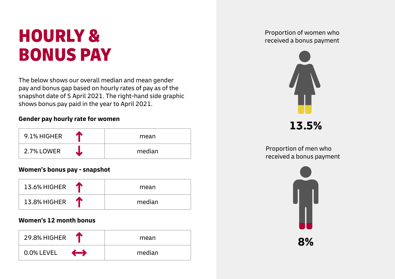# **Proportion of women who Froportion of Women who Freportion of women who Freportion of women who received a bonus payment** BONUS PAY

The below shows our overall median and mean gender pay and bonus gap based on hourly rates of pay as of the snapshot date of 5 April 2021. The right-hand side graphic shows bonus pay paid in the year to April 2021.

#### **Gender pay hourly rate for women**

| 20 N<br>9.1% HIGHER | mean   |
|---------------------|--------|
| 2.7% LOWER          | median |

#### **Women's bonus pay - snapshot**

| 13.6% HIGHER<br>ИМ | mean   |
|--------------------|--------|
| 13.8% HIGHER       | median |

#### **Women's 12 month bonus**

| 29.8% HIGHER                        | mean   |
|-------------------------------------|--------|
| $\longleftrightarrow$<br>0.0% LEVEL | median |



**13.5%**

Proportion of men who received a bonus payment

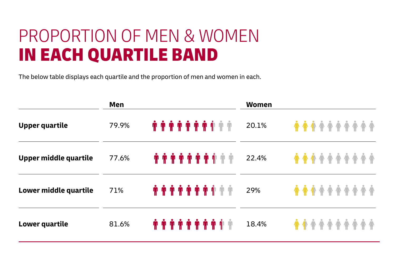## PROPORTION OF MEN & WOMEN IN EACH QUARTILE BAND

The below table displays each quartile and the proportion of men and women in each.

|                       | Men   |                                                                                                                                                                                                                                               | <b>Women</b> |                                   |
|-----------------------|-------|-----------------------------------------------------------------------------------------------------------------------------------------------------------------------------------------------------------------------------------------------|--------------|-----------------------------------|
| <b>Upper quartile</b> | 79.9% | $\hat{\mathfrak{m}}$                                                                                                                                                                                                                          | 20.1%        | <b><i>A A A A A A A A A A</i></b> |
| Upper middle quartile | 77.6% | $\begin{array}{c} \hat{\mathbf{m}} \ \hat{\mathbf{m}} \ \hat{\mathbf{m}} \ \hat{\mathbf{m}} \ \hat{\mathbf{m}} \ \hat{\mathbf{m}} \ \hat{\mathbf{m}} \ \hat{\mathbf{m}} \ \hat{\mathbf{m}} \ \hat{\mathbf{m}} \ \hat{\mathbf{m}} \end{array}$ | 22.4%        |                                   |
| Lower middle quartile | 71%   | <b><i></i></b>                                                                                                                                                                                                                                | 29%          | <b><i>A A A A A A A A A A</i></b> |
| Lower quartile        | 81.6% | $\hat{\mathfrak{m}}\ \hat{\mathfrak{m}}\ \hat{\mathfrak{m}}\ \hat{\mathfrak{m}}\ \hat{\mathfrak{m}}\ \hat{\mathfrak{m}}\ \hat{\mathfrak{m}}\ \hat{\mathfrak{m}}\ \hat{\mathfrak{m}}$                                                          | 18.4%        |                                   |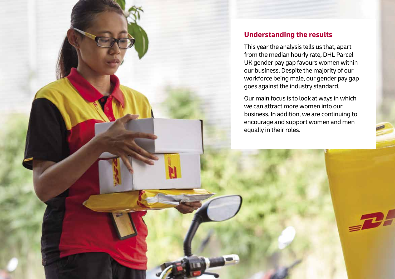

### **Understanding the results**

This year the analysis tells us that, apart from the median hourly rate, DHL Parcel UK gender pay gap favours women within our business. Despite the majority of our workforce being male, our gender pay gap goes against the industry standard.

Our main focus is to look at ways in which we can attract more women into our business. In addition, we are continuing to encourage and support women and men equally in their roles.